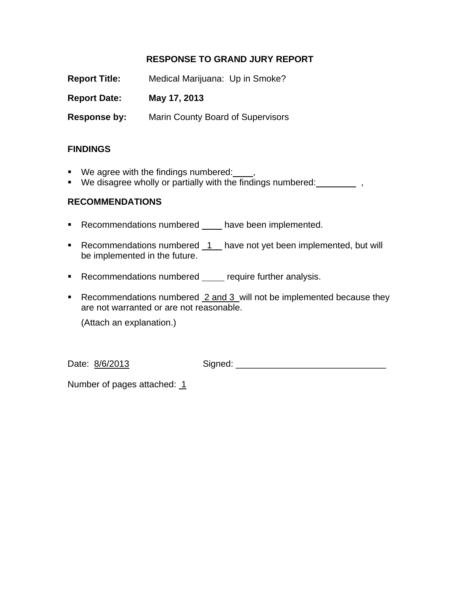# **RESPONSE TO GRAND JURY REPORT**

**Report Title:** Medical Marijuana: Up in Smoke? **Report Date: May 17, 2013 Response by:** Marin County Board of Supervisors

# **FINDINGS**

- We agree with the findings numbered:
- $\blacksquare$  We disagree wholly or partially with the findings numbered:  $\blacksquare$ ,

# **RECOMMENDATIONS**

- Recommendations numbered \_\_\_\_ have been implemented.
- Recommendations numbered  $1$  have not yet been implemented, but will be implemented in the future.
- **Recommendations numbered** require further analysis.
- Recommendations numbered 2 and 3 will not be implemented because they are not warranted or are not reasonable.

(Attach an explanation.)

Date: 8/6/2013 Signed: 2008 Signed: 2008 Signed: 2008 Signed: 2008 Signed: 2008 Signed: 2008 Signed: 2008 Signed

Number of pages attached: 1